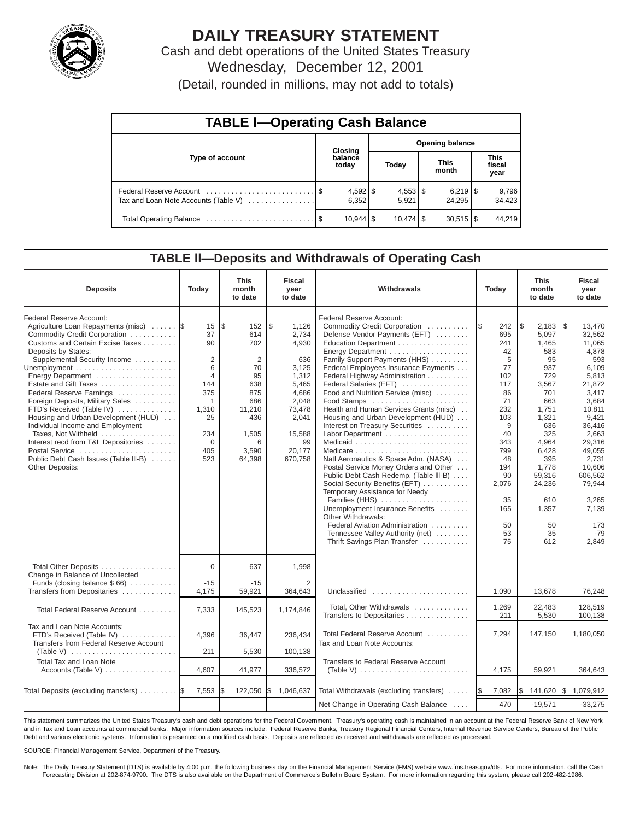

# **DAILY TREASURY STATEMENT**

Cash and debt operations of the United States Treasury Wednesday, December 12, 2001

| (Detail, rounded in millions, may not add to totals) |  |  |  |  |
|------------------------------------------------------|--|--|--|--|
|------------------------------------------------------|--|--|--|--|

| <b>TABLE I-Operating Cash Balance</b> |  |                     |                 |                        |                      |            |                               |                 |  |  |
|---------------------------------------|--|---------------------|-----------------|------------------------|----------------------|------------|-------------------------------|-----------------|--|--|
|                                       |  | <b>Closing</b>      | Opening balance |                        |                      |            |                               |                 |  |  |
| <b>Type of account</b>                |  | balance<br>today    |                 | Today                  | <b>This</b><br>month |            | <b>This</b><br>fiscal<br>year |                 |  |  |
| Tax and Loan Note Accounts (Table V)  |  | $4,592$ \$<br>6.352 |                 | $4,553$ \$<br>5.921    |                      | 24.295     |                               | 9,796<br>34,423 |  |  |
|                                       |  | $10,944$ \ \$       |                 | $10.474$ $\frac{1}{9}$ |                      | $30.515$ S |                               | 44,219          |  |  |

## **TABLE ll—Deposits and Withdrawals of Operating Cash**

| <b>Deposits</b>                                                                                                                                                                                                                                                                                                                                                                                                                                                                                                                                             | Today                                                                                                                                 | <b>This</b><br>month<br>to date                                                                                               | Fiscal<br>year<br>to date                                                                                                                   | Withdrawals                                                                                                                                                                                                                                                                                                                                                                                                                                                                                                                                                                                                                                                                                                                                                                                                      | Today                                                                                                                                                                 | <b>This</b><br>month<br>to date                                                                                                                                                                          | <b>Fiscal</b><br>year<br>to date                                                                                                                                                                                                             |
|-------------------------------------------------------------------------------------------------------------------------------------------------------------------------------------------------------------------------------------------------------------------------------------------------------------------------------------------------------------------------------------------------------------------------------------------------------------------------------------------------------------------------------------------------------------|---------------------------------------------------------------------------------------------------------------------------------------|-------------------------------------------------------------------------------------------------------------------------------|---------------------------------------------------------------------------------------------------------------------------------------------|------------------------------------------------------------------------------------------------------------------------------------------------------------------------------------------------------------------------------------------------------------------------------------------------------------------------------------------------------------------------------------------------------------------------------------------------------------------------------------------------------------------------------------------------------------------------------------------------------------------------------------------------------------------------------------------------------------------------------------------------------------------------------------------------------------------|-----------------------------------------------------------------------------------------------------------------------------------------------------------------------|----------------------------------------------------------------------------------------------------------------------------------------------------------------------------------------------------------|----------------------------------------------------------------------------------------------------------------------------------------------------------------------------------------------------------------------------------------------|
| Federal Reserve Account:<br>Agriculture Loan Repayments (misc)<br>Commodity Credit Corporation<br>Customs and Certain Excise Taxes<br>Deposits by States:<br>Supplemental Security Income<br>Energy Department<br>Estate and Gift Taxes<br>Federal Reserve Earnings<br>Foreign Deposits, Military Sales<br>FTD's Received (Table IV)<br>Housing and Urban Development (HUD)<br>Individual Income and Employment<br>Taxes, Not Withheld<br>Interest recd from T&L Depositories<br>Postal Service<br>Public Debt Cash Issues (Table III-B)<br>Other Deposits: | 15<br>37<br>90<br>$\overline{2}$<br>6<br>$\overline{4}$<br>144<br>375<br>$\mathbf{1}$<br>1,310<br>25<br>234<br>$\Omega$<br>405<br>523 | l\$<br>152<br>614<br>702<br>$\overline{2}$<br>70<br>95<br>638<br>875<br>686<br>11,210<br>436<br>1,505<br>6<br>3,590<br>64,398 | l \$<br>1.126<br>2,734<br>4,930<br>636<br>3,125<br>1,312<br>5.465<br>4,686<br>2,048<br>73,478<br>2,041<br>15,588<br>99<br>20.177<br>670.758 | Federal Reserve Account:<br>Commodity Credit Corporation<br>Defense Vendor Payments (EFT)<br>Education Department<br>Family Support Payments (HHS)<br>Federal Employees Insurance Payments<br>Federal Highway Administration<br>Federal Salaries (EFT)<br>Food and Nutrition Service (misc)<br>Food Stamps<br>Health and Human Services Grants (misc)<br>Housing and Urban Development (HUD)<br>Interest on Treasury Securities<br>Natl Aeronautics & Space Adm. (NASA)<br>Postal Service Money Orders and Other<br>Public Debt Cash Redemp. (Table III-B)<br>Social Security Benefits (EFT)<br>Temporary Assistance for Needy<br>Families (HHS)<br>Unemployment Insurance Benefits<br>Other Withdrawals:<br>Federal Aviation Administration<br>Tennessee Valley Authority (net)<br>Thrift Savings Plan Transfer | 1\$<br>242<br>695<br>241<br>42<br>5<br>77<br>102<br>117<br>86<br>71<br>232<br>103<br>9<br>40<br>343<br>799<br>48<br>194<br>90<br>2,076<br>35<br>165<br>50<br>53<br>75 | 2.183<br>\$<br>5.097<br>1,465<br>583<br>95<br>937<br>729<br>3,567<br>701<br>663<br>1,751<br>1,321<br>636<br>325<br>4.964<br>6,428<br>395<br>1.778<br>59.316<br>24,236<br>610<br>1,357<br>50<br>35<br>612 | l\$<br>13.470<br>32.562<br>11,065<br>4,878<br>593<br>6,109<br>5,813<br>21.872<br>3,417<br>3,684<br>10,811<br>9,421<br>36,416<br>2.663<br>29.316<br>49,055<br>2.731<br>10.606<br>606.562<br>79.944<br>3,265<br>7,139<br>173<br>$-79$<br>2,849 |
| Total Other Deposits<br>Change in Balance of Uncollected<br>Funds (closing balance $$66$ )                                                                                                                                                                                                                                                                                                                                                                                                                                                                  | $\Omega$<br>$-15$                                                                                                                     | 637<br>$-15$                                                                                                                  | 1,998<br>$\overline{2}$                                                                                                                     |                                                                                                                                                                                                                                                                                                                                                                                                                                                                                                                                                                                                                                                                                                                                                                                                                  |                                                                                                                                                                       |                                                                                                                                                                                                          |                                                                                                                                                                                                                                              |
| Transfers from Depositaries                                                                                                                                                                                                                                                                                                                                                                                                                                                                                                                                 | 4,175                                                                                                                                 | 59,921                                                                                                                        | 364,643                                                                                                                                     | Unclassified                                                                                                                                                                                                                                                                                                                                                                                                                                                                                                                                                                                                                                                                                                                                                                                                     | 1,090                                                                                                                                                                 | 13,678                                                                                                                                                                                                   | 76,248                                                                                                                                                                                                                                       |
| Total Federal Reserve Account                                                                                                                                                                                                                                                                                                                                                                                                                                                                                                                               | 7,333                                                                                                                                 | 145,523                                                                                                                       | 1,174,846                                                                                                                                   | Total, Other Withdrawals<br>Transfers to Depositaries                                                                                                                                                                                                                                                                                                                                                                                                                                                                                                                                                                                                                                                                                                                                                            | 1,269<br>211                                                                                                                                                          | 22,483<br>5,530                                                                                                                                                                                          | 128.519<br>100.138                                                                                                                                                                                                                           |
| Tax and Loan Note Accounts:<br>FTD's Received (Table IV)<br>Transfers from Federal Reserve Account                                                                                                                                                                                                                                                                                                                                                                                                                                                          | 4,396<br>211                                                                                                                          | 36,447<br>5,530                                                                                                               | 236,434<br>100,138                                                                                                                          | Total Federal Reserve Account<br>Tax and Loan Note Accounts:                                                                                                                                                                                                                                                                                                                                                                                                                                                                                                                                                                                                                                                                                                                                                     | 7,294                                                                                                                                                                 | 147,150                                                                                                                                                                                                  | 1,180,050                                                                                                                                                                                                                                    |
| <b>Total Tax and Loan Note</b>                                                                                                                                                                                                                                                                                                                                                                                                                                                                                                                              | 4,607                                                                                                                                 | 41,977                                                                                                                        | 336,572                                                                                                                                     | <b>Transfers to Federal Reserve Account</b><br>(Table V) $\ldots \ldots \ldots \ldots \ldots \ldots \ldots \ldots \ldots$                                                                                                                                                                                                                                                                                                                                                                                                                                                                                                                                                                                                                                                                                        | 4,175                                                                                                                                                                 | 59,921                                                                                                                                                                                                   | 364,643                                                                                                                                                                                                                                      |
|                                                                                                                                                                                                                                                                                                                                                                                                                                                                                                                                                             |                                                                                                                                       |                                                                                                                               |                                                                                                                                             |                                                                                                                                                                                                                                                                                                                                                                                                                                                                                                                                                                                                                                                                                                                                                                                                                  |                                                                                                                                                                       |                                                                                                                                                                                                          |                                                                                                                                                                                                                                              |
| Total Deposits (excluding transfers)                                                                                                                                                                                                                                                                                                                                                                                                                                                                                                                        | 7,553                                                                                                                                 | 122,050                                                                                                                       | Ι\$<br>1,046,637                                                                                                                            | Total Withdrawals (excluding transfers)                                                                                                                                                                                                                                                                                                                                                                                                                                                                                                                                                                                                                                                                                                                                                                          | 7,082<br><b>IS</b>                                                                                                                                                    | 141,620<br>l\$                                                                                                                                                                                           | \$1,079,912                                                                                                                                                                                                                                  |
|                                                                                                                                                                                                                                                                                                                                                                                                                                                                                                                                                             |                                                                                                                                       |                                                                                                                               |                                                                                                                                             | Net Change in Operating Cash Balance                                                                                                                                                                                                                                                                                                                                                                                                                                                                                                                                                                                                                                                                                                                                                                             | 470                                                                                                                                                                   | $-19,571$                                                                                                                                                                                                | $-33,275$                                                                                                                                                                                                                                    |

This statement summarizes the United States Treasury's cash and debt operations for the Federal Government. Treasury's operating cash is maintained in an account at the Federal Reserve Bank of New York and in Tax and Loan accounts at commercial banks. Major information sources include: Federal Reserve Banks, Treasury Regional Financial Centers, Internal Revenue Service Centers, Bureau of the Public Debt and various electronic systems. Information is presented on a modified cash basis. Deposits are reflected as received and withdrawals are reflected as processed.

SOURCE: Financial Management Service, Department of the Treasury.

Note: The Daily Treasury Statement (DTS) is available by 4:00 p.m. the following business day on the Financial Management Service (FMS) website www.fms.treas.gov/dts. For more information, call the Cash Forecasting Division at 202-874-9790. The DTS is also available on the Department of Commerce's Bulletin Board System. For more information regarding this system, please call 202-482-1986.